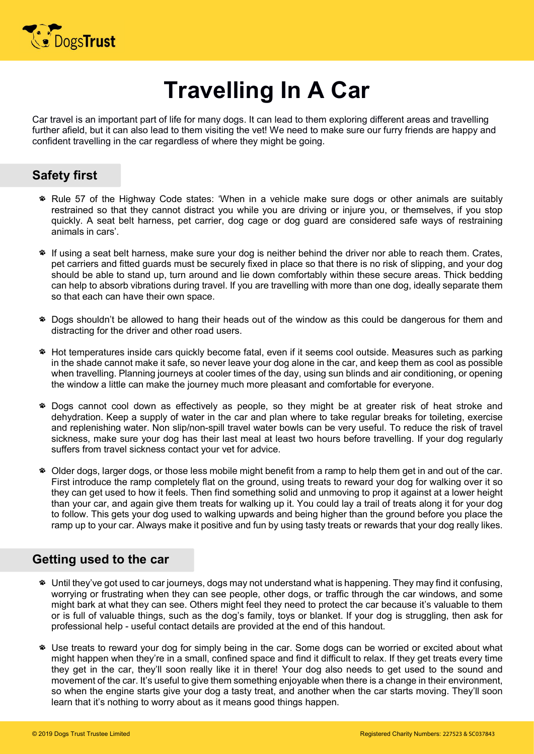

# Travelling In A Car

Car travel is an important part of life for many dogs. It can lead to them exploring different areas and travelling further afield, but it can also lead to them visiting the vet! We need to make sure our furry friends are happy and confident travelling in the car regardless of where they might be going.

## Safety first

- Rule 57 of the Highway Code states: 'When in a vehicle make sure dogs or other animals are suitably restrained so that they cannot distract you while you are driving or injure you, or themselves, if you stop quickly. A seat belt harness, pet carrier, dog cage or dog guard are considered safe ways of restraining animals in cars'.
- If using a seat belt harness, make sure your dog is neither behind the driver nor able to reach them. Crates, pet carriers and fitted guards must be securely fixed in place so that there is no risk of slipping, and your dog should be able to stand up, turn around and lie down comfortably within these secure areas. Thick bedding can help to absorb vibrations during travel. If you are travelling with more than one dog, ideally separate them so that each can have their own space.
- Dogs shouldn't be allowed to hang their heads out of the window as this could be dangerous for them and distracting for the driver and other road users.
- Hot temperatures inside cars quickly become fatal, even if it seems cool outside. Measures such as parking in the shade cannot make it safe, so never leave your dog alone in the car, and keep them as cool as possible when travelling. Planning journeys at cooler times of the day, using sun blinds and air conditioning, or opening the window a little can make the journey much more pleasant and comfortable for everyone.
- \* Dogs cannot cool down as effectively as people, so they might be at greater risk of heat stroke and dehydration. Keep a supply of water in the car and plan where to take regular breaks for toileting, exercise and replenishing water. Non slip/non-spill travel water bowls can be very useful. To reduce the risk of travel sickness, make sure your dog has their last meal at least two hours before travelling. If your dog regularly suffers from travel sickness contact your vet for advice.
- Older dogs, larger dogs, or those less mobile might benefit from a ramp to help them get in and out of the car. First introduce the ramp completely flat on the ground, using treats to reward your dog for walking over it so they can get used to how it feels. Then find something solid and unmoving to prop it against at a lower height than your car, and again give them treats for walking up it. You could lay a trail of treats along it for your dog to follow. This gets your dog used to walking upwards and being higher than the ground before you place the ramp up to your car. Always make it positive and fun by using tasty treats or rewards that your dog really likes.

## Getting used to the car

- Until they've got used to car journeys, dogs may not understand what is happening. They may find it confusing, worrying or frustrating when they can see people, other dogs, or traffic through the car windows, and some might bark at what they can see. Others might feel they need to protect the car because it's valuable to them or is full of valuable things, such as the dog's family, toys or blanket. If your dog is struggling, then ask for professional help - useful contact details are provided at the end of this handout.
- Use treats to reward your dog for simply being in the car. Some dogs can be worried or excited about what might happen when they're in a small, confined space and find it difficult to relax. If they get treats every time they get in the car, they'll soon really like it in there! Your dog also needs to get used to the sound and movement of the car. It's useful to give them something enjoyable when there is a change in their environment, so when the engine starts give your dog a tasty treat, and another when the car starts moving. They'll soon learn that it's nothing to worry about as it means good things happen.